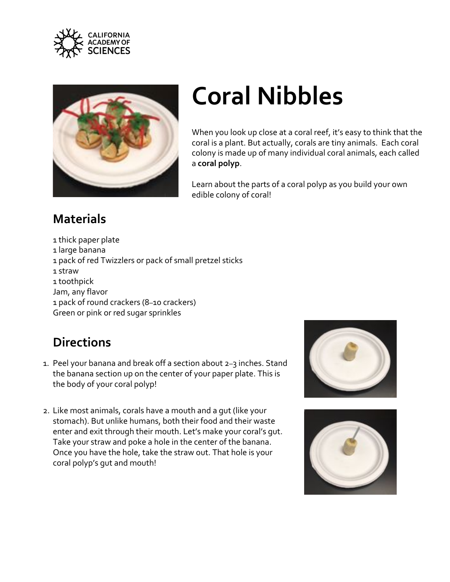



## **Coral Nibbles**

When you look up close at a coral reef, it's easy to think that the coral is a plant. But actually, corals are tiny animals. Each coral colony is made up of many individual coral animals, each called a **coral polyp**.

Learn about the parts of a coral polyp as you build your own edible colony of coral!

## **Materials**

1 thick paper plate 1 large banana 1 pack of red Twizzlers or pack of small pretzel sticks 1 straw 1 toothpick Jam, any flavor 1 pack of round crackers (8–10 crackers) Green or pink or red sugar sprinkles

## **Directions**

- 1. Peel your banana and break off a section about 2–3 inches. Stand the banana section up on the center of your paper plate. This is the body of your coral polyp!
- 2. Like most animals, corals have a mouth and a gut (like your stomach). But unlike humans, both their food and their waste enter and exit through their mouth. Let's make your coral's gut. Take your straw and poke a hole in the center of the banana. Once you have the hole, take the straw out. That hole is your coral polyp's gut and mouth!